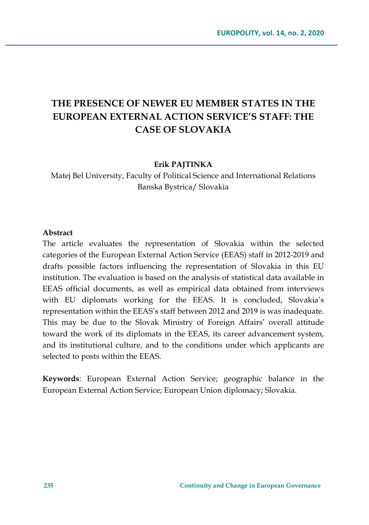# **THE PRESENCE OF NEWER EU MEMBER STATES IN THE EUROPEAN EXTERNAL ACTION SERVICE'S STAFF: THE CASE OF SLOVAKIA**

#### **Erik PAJTINKA**

Matej Bel University, Faculty of Political Science and International Relations Banska Bystrica/ Slovakia

#### **Abstract**

The article evaluates the representation of Slovakia within the selected categories of the European External Action Service (EEAS) staff in 2012-2019 and drafts possible factors influencing the representation of Slovakia in this EU institution. The evaluation is based on the analysis of statistical data available in EEAS official documents, as well as empirical data obtained from interviews with EU diplomats working for the EEAS. It is concluded, Slovakia's representation within the EEAS's staff between 2012 and 2019 is was inadequate. This may be due to the Slovak Ministry of Foreign Affairs' overall attitude toward the work of its diplomats in the EEAS, its career advancement system, and its institutional culture, and to the conditions under which applicants are selected to posts within the EEAS.

**Keywords**: European External Action Service; geographic balance in the European External Action Service; European Union diplomacy; Slovakia.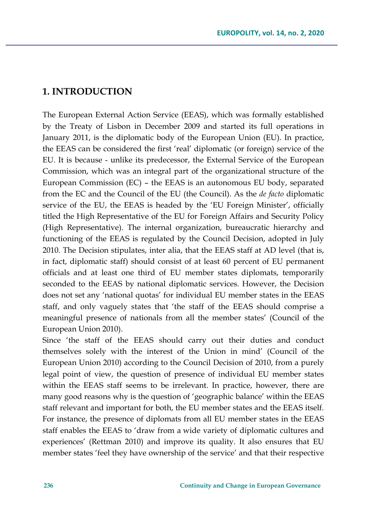## **1. INTRODUCTION**

The European External Action Service (EEAS), which was formally established by the Treaty of Lisbon in December 2009 and started its full operations in January 2011, is the diplomatic body of the European Union (EU). In practice, the EEAS can be considered the first 'real' diplomatic (or foreign) service of the EU. It is because - unlike its predecessor, the External Service of the European Commission, which was an integral part of the organizational structure of the European Commission (EC) – the EEAS is an autonomous EU body, separated from the EC and the Council of the EU (the Council). As the *de facto* diplomatic service of the EU, the EEAS is headed by the 'EU Foreign Minister', officially titled the High Representative of the EU for Foreign Affairs and Security Policy (High Representative). The internal organization, bureaucratic hierarchy and functioning of the EEAS is regulated by the Council Decision, adopted in July 2010. The Decision stipulates, inter alia, that the EEAS staff at AD level (that is, in fact, diplomatic staff) should consist of at least 60 percent of EU permanent officials and at least one third of EU member states diplomats, temporarily seconded to the EEAS by national diplomatic services. However, the Decision does not set any 'national quotas' for individual EU member states in the EEAS staff, and only vaguely states that 'the staff of the EEAS should comprise a meaningful presence of nationals from all the member states' (Council of the European Union 2010).

Since 'the staff of the EEAS should carry out their duties and conduct themselves solely with the interest of the Union in mind' (Council of the European Union 2010) according to the Council Decision of 2010, from a purely legal point of view, the question of presence of individual EU member states within the EEAS staff seems to be irrelevant. In practice, however, there are many good reasons why is the question of 'geographic balance' within the EEAS staff relevant and important for both, the EU member states and the EEAS itself. For instance, the presence of diplomats from all EU member states in the EEAS staff enables the EEAS to 'draw from a wide variety of diplomatic cultures and experiences' (Rettman 2010) and improve its quality. It also ensures that EU member states 'feel they have ownership of the service' and that their respective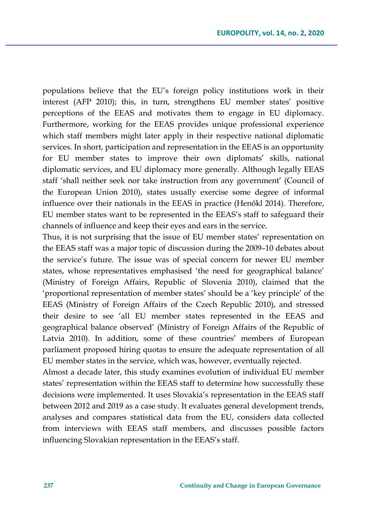populations believe that the EU's foreign policy institutions work in their interest (AFP 2010); this, in turn, strengthens EU member states' positive perceptions of the EEAS and motivates them to engage in EU diplomacy. Furthermore, working for the EEAS provides unique professional experience which staff members might later apply in their respective national diplomatic services. In short, participation and representation in the EEAS is an opportunity for EU member states to improve their own diplomats' skills, national diplomatic services, and EU diplomacy more generally. Although legally EEAS staff 'shall neither seek nor take instruction from any government' (Council of the European Union 2010), states usually exercise some degree of informal influence over their nationals in the EEAS in practice (Henőkl 2014). Therefore, EU member states want to be represented in the EEAS's staff to safeguard their channels of influence and keep their eyes and ears in the service.

Thus, it is not surprising that the issue of EU member states' representation on the EEAS staff was a major topic of discussion during the 2009–10 debates about the service's future. The issue was of special concern for newer EU member states, whose representatives emphasised 'the need for geographical balance' (Ministry of Foreign Affairs, Republic of Slovenia 2010), claimed that the 'proportional representation of member states' should be a 'key principle' of the EEAS (Ministry of Foreign Affairs of the Czech Republic 2010), and stressed their desire to see 'all EU member states represented in the EEAS and geographical balance observed' (Ministry of Foreign Affairs of the Republic of Latvia 2010). In addition, some of these countries' members of European parliament proposed hiring quotas to ensure the adequate representation of all EU member states in the service, which was, however, eventually rejected.

Almost a decade later, this study examines evolution of individual EU member states' representation within the EEAS staff to determine how successfully these decisions were implemented. It uses Slovakia's representation in the EEAS staff between 2012 and 2019 as a case study. It evaluates general development trends, analyses and compares statistical data from the EU, considers data collected from interviews with EEAS staff members, and discusses possible factors influencing Slovakian representation in the EEAS's staff.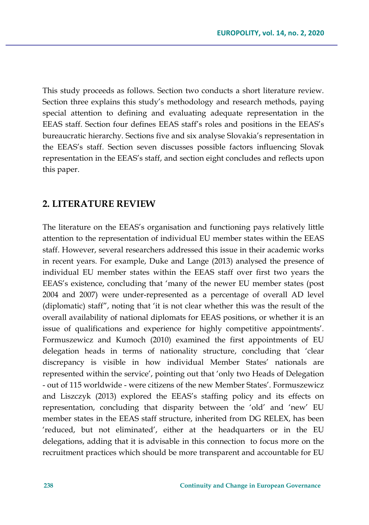This study proceeds as follows. Section two conducts a short literature review. Section three explains this study's methodology and research methods, paying special attention to defining and evaluating adequate representation in the EEAS staff. Section four defines EEAS staff's roles and positions in the EEAS's bureaucratic hierarchy. Sections five and six analyse Slovakia's representation in the EEAS's staff. Section seven discusses possible factors influencing Slovak representation in the EEAS's staff, and section eight concludes and reflects upon this paper.

### **2. LITERATURE REVIEW**

The literature on the EEAS's organisation and functioning pays relatively little attention to the representation of individual EU member states within the EEAS staff. However, several researchers addressed this issue in their academic works in recent years. For example, Duke and Lange (2013) analysed the presence of individual EU member states within the EEAS staff over first two years the EEAS's existence, concluding that 'many of the newer EU member states (post 2004 and 2007) were under-represented as a percentage of overall AD level (diplomatic) staff", noting that 'it is not clear whether this was the result of the overall availability of national diplomats for EEAS positions, or whether it is an issue of qualifications and experience for highly competitive appointments'. Formuszewicz and Kumoch (2010) examined the first appointments of EU delegation heads in terms of nationality structure, concluding that 'clear discrepancy is visible in how individual Member States' nationals are represented within the service', pointing out that 'only two Heads of Delegation - out of 115 worldwide - were citizens of the new Member States'. Formuszewicz and Liszczyk (2013) explored the EEAS's staffing policy and its effects on representation, concluding that disparity between the 'old' and 'new' EU member states in the EEAS staff structure, inherited from DG RELEX, has been 'reduced, but not eliminated', either at the headquarters or in the EU delegations, adding that it is advisable in this connection to focus more on the recruitment practices which should be more transparent and accountable for EU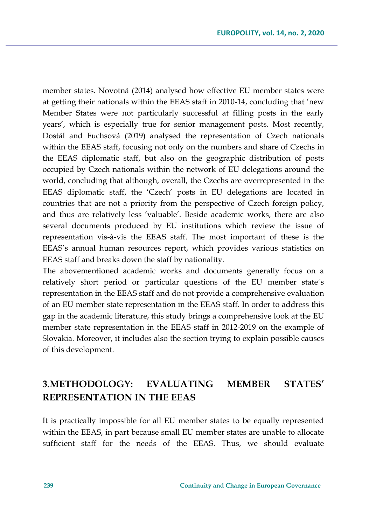member states. Novotná (2014) analysed how effective EU member states were at getting their nationals within the EEAS staff in 2010-14, concluding that 'new Member States were not particularly successful at filling posts in the early years', which is especially true for senior management posts. Most recently, Dostál and Fuchsová (2019) analysed the representation of Czech nationals within the EEAS staff, focusing not only on the numbers and share of Czechs in the EEAS diplomatic staff, but also on the geographic distribution of posts occupied by Czech nationals within the network of EU delegations around the world, concluding that although, overall, the Czechs are overrepresented in the EEAS diplomatic staff, the 'Czech' posts in EU delegations are located in countries that are not a priority from the perspective of Czech foreign policy, and thus are relatively less 'valuable'. Beside academic works, there are also several documents produced by EU institutions which review the issue of representation vis-à-vis the EEAS staff. The most important of these is the EEAS's annual human resources report, which provides various statistics on EEAS staff and breaks down the staff by nationality.

The abovementioned academic works and documents generally focus on a relatively short period or particular questions of the EU member state´s representation in the EEAS staff and do not provide a comprehensive evaluation of an EU member state representation in the EEAS staff. In order to address this gap in the academic literature, this study brings a comprehensive look at the EU member state representation in the EEAS staff in 2012-2019 on the example of Slovakia. Moreover, it includes also the section trying to explain possible causes of this development.

## **3.METHODOLOGY: EVALUATING MEMBER STATES' REPRESENTATION IN THE EEAS**

It is practically impossible for all EU member states to be equally represented within the EEAS, in part because small EU member states are unable to allocate sufficient staff for the needs of the EEAS. Thus, we should evaluate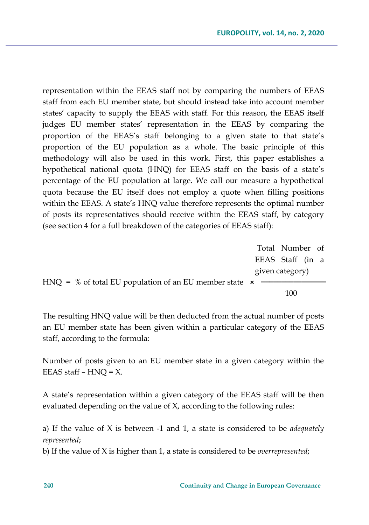representation within the EEAS staff not by comparing the numbers of EEAS staff from each EU member state, but should instead take into account member states' capacity to supply the EEAS with staff. For this reason, the EEAS itself judges EU member states' representation in the EEAS by comparing the proportion of the EEAS's staff belonging to a given state to that state's proportion of the EU population as a whole. The basic principle of this methodology will also be used in this work. First, this paper establishes a hypothetical national quota (HNQ) for EEAS staff on the basis of a state's percentage of the EU population at large. We call our measure a hypothetical quota because the EU itself does not employ a quote when filling positions within the EEAS. A state's HNQ value therefore represents the optimal number of posts its representatives should receive within the EEAS staff, by category (see section 4 for a full breakdown of the categories of EEAS staff):

Total Number of EEAS Staff (in a given category) HNQ = % of total EU population of an EU member state  $\star$ 100

The resulting HNQ value will be then deducted from the actual number of posts an EU member state has been given within a particular category of the EEAS staff, according to the formula:

Number of posts given to an EU member state in a given category within the EEAS staff  $-$  HNQ  $=$  X.

A state's representation within a given category of the EEAS staff will be then evaluated depending on the value of X, according to the following rules:

a) If the value of X is between -1 and 1, a state is considered to be *adequately represented*;

b) If the value of X is higher than 1, a state is considered to be *overrepresented*;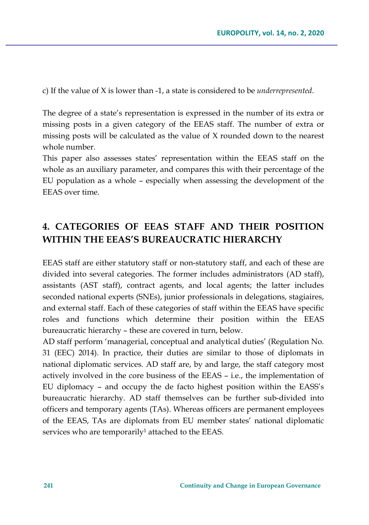c) If the value of X is lower than -1, a state is considered to be *underrepresented*.

The degree of a state's representation is expressed in the number of its extra or missing posts in a given category of the EEAS staff. The number of extra or missing posts will be calculated as the value of X rounded down to the nearest whole number.

This paper also assesses states' representation within the EEAS staff on the whole as an auxiliary parameter, and compares this with their percentage of the EU population as a whole – especially when assessing the development of the EEAS over time.

## **4. CATEGORIES OF EEAS STAFF AND THEIR POSITION WITHIN THE EEAS'S BUREAUCRATIC HIERARCHY**

EEAS staff are either statutory staff or non-statutory staff, and each of these are divided into several categories. The former includes administrators (AD staff), assistants (AST staff), contract agents, and local agents; the latter includes seconded national experts (SNEs), junior professionals in delegations, stagiaires, and external staff. Each of these categories of staff within the EEAS have specific roles and functions which determine their position within the EEAS bureaucratic hierarchy – these are covered in turn, below.

AD staff perform 'managerial, conceptual and analytical duties' (Regulation No. 31 (EEC) 2014). In practice, their duties are similar to those of diplomats in national diplomatic services. AD staff are, by and large, the staff category most actively involved in the core business of the EEAS – i.e., the implementation of EU diplomacy – and occupy the de facto highest position within the EASS's bureaucratic hierarchy. AD staff themselves can be further sub-divided into officers and temporary agents (TAs). Whereas officers are permanent employees of the EEAS, TAs are diplomats from EU member states' national diplomatic services who are temporarily<sup>1</sup> attached to the EEAS.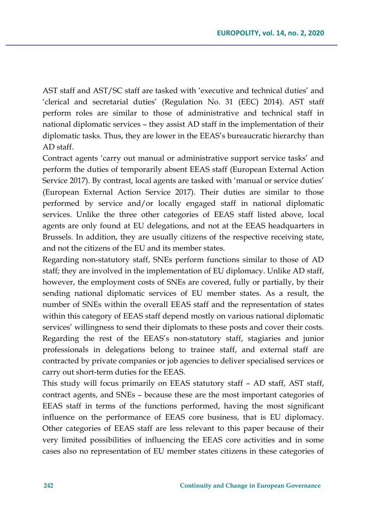AST staff and AST/SC staff are tasked with 'executive and technical duties' and 'clerical and secretarial duties' (Regulation No. 31 (EEC) 2014). AST staff perform roles are similar to those of administrative and technical staff in national diplomatic services – they assist AD staff in the implementation of their diplomatic tasks. Thus, they are lower in the EEAS's bureaucratic hierarchy than AD staff.

Contract agents 'carry out manual or administrative support service tasks' and perform the duties of temporarily absent EEAS staff (European External Action Service 2017). By contrast, local agents are tasked with 'manual or service duties' (European External Action Service 2017). Their duties are similar to those performed by service and/or locally engaged staff in national diplomatic services. Unlike the three other categories of EEAS staff listed above, local agents are only found at EU delegations, and not at the EEAS headquarters in Brussels. In addition, they are usually citizens of the respective receiving state, and not the citizens of the EU and its member states.

Regarding non-statutory staff, SNEs perform functions similar to those of AD staff; they are involved in the implementation of EU diplomacy. Unlike AD staff, however, the employment costs of SNEs are covered, fully or partially, by their sending national diplomatic services of EU member states. As a result, the number of SNEs within the overall EEAS staff and the representation of states within this category of EEAS staff depend mostly on various national diplomatic services' willingness to send their diplomats to these posts and cover their costs. Regarding the rest of the EEAS's non-statutory staff, stagiaries and junior professionals in delegations belong to trainee staff, and external staff are contracted by private companies or job agencies to deliver specialised services or carry out short-term duties for the EEAS.

This study will focus primarily on EEAS statutory staff – AD staff, AST staff, contract agents, and SNEs – because these are the most important categories of EEAS staff in terms of the functions performed, having the most significant influence on the performance of EEAS core business, that is EU diplomacy. Other categories of EEAS staff are less relevant to this paper because of their very limited possibilities of influencing the EEAS core activities and in some cases also no representation of EU member states citizens in these categories of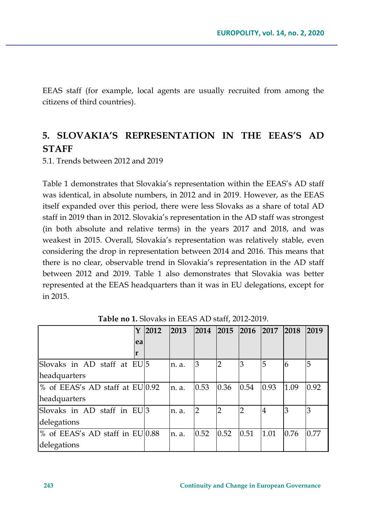EEAS staff (for example, local agents are usually recruited from among the citizens of third countries).

# **5. SLOVAKIA'S REPRESENTATION IN THE EEAS'S AD STAFF**

5.1. Trends between 2012 and 2019

Table 1 demonstrates that Slovakia's representation within the EEAS's AD staff was identical, in absolute numbers, in 2012 and in 2019. However, as the EEAS itself expanded over this period, there were less Slovaks as a share of total AD staff in 2019 than in 2012. Slovakia's representation in the AD staff was strongest (in both absolute and relative terms) in the years 2017 and 2018, and was weakest in 2015. Overall, Slovakia's representation was relatively stable, even considering the drop in representation between 2014 and 2016. This means that there is no clear, observable trend in Slovakia's representation in the AD staff between 2012 and 2019. Table 1 also demonstrates that Slovakia was better represented at the EEAS headquarters than it was in EU delegations, except for in 2015.

|                                 | 2012 | 2013  | 2014          | 2015 | 2016           | 2017           | 2018 | 2019 |
|---------------------------------|------|-------|---------------|------|----------------|----------------|------|------|
| ea                              |      |       |               |      |                |                |      |      |
|                                 |      |       |               |      |                |                |      |      |
| Slovaks in AD staff at EU 5     |      | n. a. | 3             | 2    | 3              | 5              | 6    | 5    |
| headquarters                    |      |       |               |      |                |                |      |      |
| % of EEAS's AD staff at EU 0.92 |      | n. a. | 0.53          | 0.36 | 0.54           | 0.93           | 1.09 | 0.92 |
| headquarters                    |      |       |               |      |                |                |      |      |
| Slovaks in AD staff in EU 3     |      | n. a. | $\mathcal{P}$ | 2    | $\overline{2}$ | $\overline{4}$ | 3    | 3    |
| delegations                     |      |       |               |      |                |                |      |      |
| % of EEAS's AD staff in EU 0.88 |      | n. a. | 0.52          | 0.52 | 0.51           | 1.01           | 0.76 | 0.77 |
| delegations                     |      |       |               |      |                |                |      |      |

**Table no 1.** Slovaks in EEAS AD staff, 2012-2019.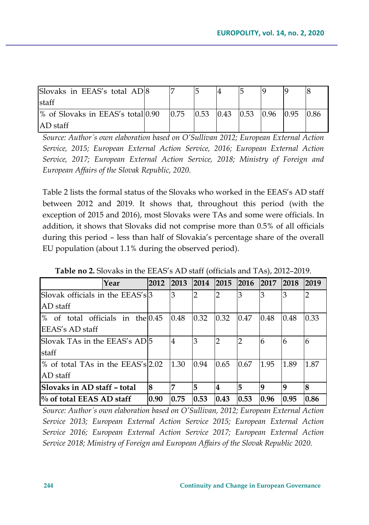| Slovaks in EEAS's total AD 8                   |  |  |  |  |
|------------------------------------------------|--|--|--|--|
| staff                                          |  |  |  |  |
| % of Slovaks in EEAS's total $ 0.90 $ $ 0.75 $ |  |  |  |  |
| $AD$ staff                                     |  |  |  |  |

*Source: Author´s own elaboration based on O'Sullivan 2012; European External Action Service, 2015; European External Action Service, 2016; European External Action Service, 2017; European External Action Service, 2018; Ministry of Foreign and European Affairs of the Slovak Republic, 2020.*

Table 2 lists the formal status of the Slovaks who worked in the EEAS's AD staff between 2012 and 2019. It shows that, throughout this period (with the exception of 2015 and 2016), most Slovaks were TAs and some were officials. In addition, it shows that Slovaks did not comprise more than 0.5% of all officials during this period – less than half of Slovakia's percentage share of the overall EU population (about 1.1% during the observed period).

|                                    | Year | 2012           | <b>2013</b> | 2014 | <b>2015</b> | <b>2016</b> | 2017        | 2018     | 2019 |
|------------------------------------|------|----------------|-------------|------|-------------|-------------|-------------|----------|------|
| Slovak officials in the EEAS's 3   |      |                | 3           | າ    | 2           | З           |             |          |      |
| AD staff                           |      |                |             |      |             |             |             |          |      |
| % of total officials in the 0.45   |      |                | 0.48        | 0.32 | 0.32        | 0.47        | 0.48        | 0.48     | 0.33 |
| EEAS's AD staff                    |      |                |             |      |             |             |             |          |      |
| Slovak TAs in the EEAS's AD5       |      | $\overline{4}$ | 3           | 2    | 2           | 6           | 6           | 6        |      |
| staff                              |      |                |             |      |             |             |             |          |      |
| % of total TAs in the EEAS's 2.02  |      |                | 1.30        | 0.94 | 0.65        | 0.67        | 1.95        | 1.89     | 1.87 |
| AD staff                           |      |                |             |      |             |             |             |          |      |
| <b>Slovaks in AD staff – total</b> | l8   | 7              | 5           | 4    | 15          | q           | $\mathbf Q$ | $\bf{8}$ |      |
| % of total EEAS AD staff           |      | 0.90           | 0.75        | 0.53 | 0.43        | 0.53        | 0.96        | 0.95     | 0.86 |

**Table no 2.** Slovaks in the EEAS's AD staff (officials and TAs), 2012–2019.

*Source: Author´s own elaboration based on O'Sullivan, 2012; European External Action Service 2013; European External Action Service 2015; European External Action Service 2016; European External Action Service 2017; European External Action Service 2018; Ministry of Foreign and European Affairs of the Slovak Republic 2020.*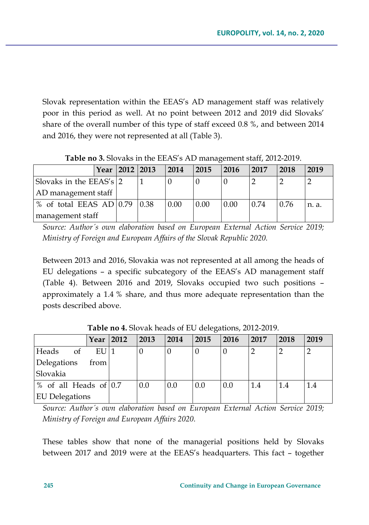Slovak representation within the EEAS's AD management staff was relatively poor in this period as well. At no point between 2012 and 2019 did Slovaks' share of the overall number of this type of staff exceed 0.8 %, and between 2014 and 2016, they were not represented at all (Table 3).

|                                                  | Year | 2012 2013 | 2014 | 2015 | 2016 | 2017 | 2018 | 2019  |
|--------------------------------------------------|------|-----------|------|------|------|------|------|-------|
| Slovaks in the EEAS's 2                          |      |           |      |      |      |      |      |       |
| AD management staff                              |      |           |      |      |      |      |      |       |
| % of total EEAS AD $\vert 0.79 \vert \vert 0.38$ |      |           | 0.00 | 0.00 | 0.00 | 0.74 | 0.76 | n. a. |
| management staff                                 |      |           |      |      |      |      |      |       |

**Table no 3.** Slovaks in the EEAS's AD management staff, 2012-2019.

*Source: Author´s own elaboration based on European External Action Service 2019; Ministry of Foreign and European Affairs of the Slovak Republic 2020.*

Between 2013 and 2016, Slovakia was not represented at all among the heads of EU delegations – a specific subcategory of the EEAS's AD management staff (Table 4). Between 2016 and 2019, Slovaks occupied two such positions – approximately a 1.4 % share, and thus more adequate representation than the posts described above.

|                         | Year 2012         | 2013 | 2014 | 2015 | 2016 | 2017 | 2018 | 2019 |
|-------------------------|-------------------|------|------|------|------|------|------|------|
| Heads<br>οf             | $EU$ <sup>1</sup> |      |      |      |      |      |      |      |
| Delegations             | from              |      |      |      |      |      |      |      |
| Slovakia                |                   |      |      |      |      |      |      |      |
| % of all Heads of $0.7$ |                   | 0.0  | 0.0  | 0.0  | 0.0  | 1.4  | 1.4  | 1.4  |
| <b>EU</b> Delegations   |                   |      |      |      |      |      |      |      |

**Table no 4.** Slovak heads of EU delegations, 2012-2019.

*Source: Author´s own elaboration based on European External Action Service 2019; Ministry of Foreign and European Affairs 2020.*

These tables show that none of the managerial positions held by Slovaks between 2017 and 2019 were at the EEAS's headquarters. This fact – together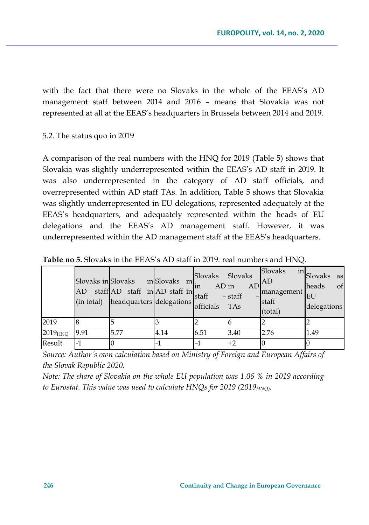with the fact that there were no Slovaks in the whole of the EEAS's AD management staff between 2014 and 2016 – means that Slovakia was not represented at all at the EEAS's headquarters in Brussels between 2014 and 2019.

### 5.2. The status quo in 2019

A comparison of the real numbers with the HNQ for 2019 (Table 5) shows that Slovakia was slightly underrepresented within the EEAS's AD staff in 2019. It was also underrepresented in the category of AD staff officials, and overrepresented within AD staff TAs. In addition, Table 5 shows that Slovakia was slightly underrepresented in EU delegations, represented adequately at the EEAS's headquarters, and adequately represented within the heads of EU delegations and the EEAS's AD management staff. However, it was underrepresented within the AD management staff at the EEAS's headquarters.

|               | Slovaks in Slovaks | AD staff AD staff in AD staff in<br>(in total) headquarters delegations | inSlovaks in | Slovaks Slovaks<br>$AD$ in<br>in<br>staff<br>officials | $-$ staff<br><b>TAs</b> | Slovaks<br>$AD$ <sup>AD</sup><br>management EU<br>staff<br>(total) | in Slovaks<br>as<br>of<br>heads<br>delegations |
|---------------|--------------------|-------------------------------------------------------------------------|--------------|--------------------------------------------------------|-------------------------|--------------------------------------------------------------------|------------------------------------------------|
| 2019          |                    |                                                                         |              |                                                        |                         | 2                                                                  |                                                |
| $2019_{H NQ}$ | 9.91               | 5.77                                                                    | 4.14         | 6.51                                                   | 3.40                    | 2.76                                                               | 1.49                                           |
| Result        | -1                 |                                                                         | $-1$         | $-4$                                                   | $+2$                    | 0                                                                  | $\Omega$                                       |

**Table no 5.** Slovaks in the EEAS's AD staff in 2019: real numbers and HNQ.

*Source: Author´s own calculation based on Ministry of Foreign and European Affairs of the Slovak Republic 2020.*

*Note: The share of Slovakia on the whole EU population was 1.06 % in 2019 according*  to Eurostat. This value was used to calculate HNQs for 2019 (2019<sub>HNO)</sub>.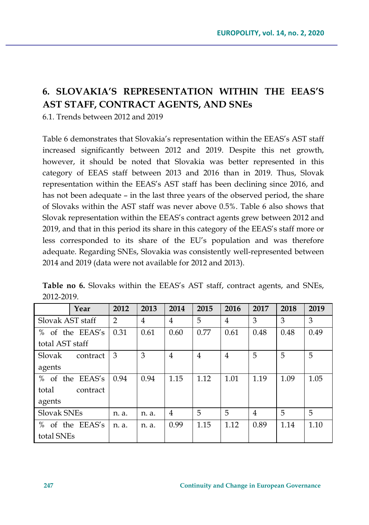# **6. SLOVAKIA'S REPRESENTATION WITHIN THE EEAS'S AST STAFF, CONTRACT AGENTS, AND SNEs**

6.1. Trends between 2012 and 2019

Table 6 demonstrates that Slovakia's representation within the EEAS's AST staff increased significantly between 2012 and 2019. Despite this net growth, however, it should be noted that Slovakia was better represented in this category of EEAS staff between 2013 and 2016 than in 2019. Thus, Slovak representation within the EEAS's AST staff has been declining since 2016, and has not been adequate – in the last three years of the observed period, the share of Slovaks within the AST staff was never above 0.5%. Table 6 also shows that Slovak representation within the EEAS's contract agents grew between 2012 and 2019, and that in this period its share in this category of the EEAS's staff more or less corresponded to its share of the EU's population and was therefore adequate. Regarding SNEs, Slovakia was consistently well-represented between 2014 and 2019 (data were not available for 2012 and 2013).

|                   | Year          | 2012           | 2013  | 2014 | 2015 | 2016 | 2017 | 2018 | 2019 |
|-------------------|---------------|----------------|-------|------|------|------|------|------|------|
| Slovak AST staff  |               | $\overline{2}$ | 4     | 4    | 5    | 4    | 3    | 3    | 3    |
| $\%$              | of the EEAS's | 0.31           | 0.61  | 0.60 | 0.77 | 0.61 | 0.48 | 0.48 | 0.49 |
| total AST staff   |               |                |       |      |      |      |      |      |      |
| Slovak            | contract      | 3              | 3     | 4    | 4    | 4    | 5    | 5    | 5    |
| agents            |               |                |       |      |      |      |      |      |      |
| $\%$<br>the<br>of | EEAS's        | 0.94           | 0.94  | 1.15 | 1.12 | 1.01 | 1.19 | 1.09 | 1.05 |
| total             | contract      |                |       |      |      |      |      |      |      |
| agents            |               |                |       |      |      |      |      |      |      |
| Slovak SNEs       |               | n. a.          | n. a. | 4    | 5    | 5    | 4    | 5    | 5    |
| $\%$              | of the EEAS's | n. a.          | n. a. | 0.99 | 1.15 | 1.12 | 0.89 | 1.14 | 1.10 |
| total SNEs        |               |                |       |      |      |      |      |      |      |

**Table no 6.** Slovaks within the EEAS's AST staff, contract agents, and SNEs, 2012-2019.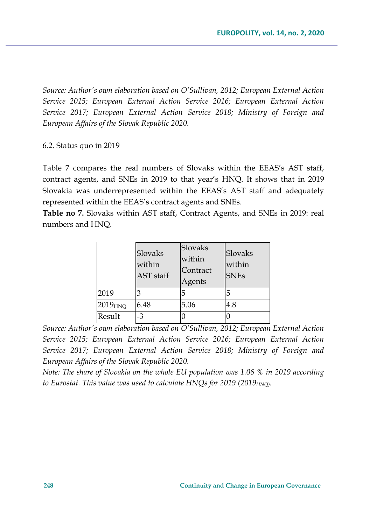*Source: Author´s own elaboration based on O'Sullivan, 2012; European External Action Service 2015; European External Action Service 2016; European External Action Service 2017; European External Action Service 2018; Ministry of Foreign and European Affairs of the Slovak Republic 2020.*

### 6.2. Status quo in 2019

Table 7 compares the real numbers of Slovaks within the EEAS's AST staff, contract agents, and SNEs in 2019 to that year's HNQ. It shows that in 2019 Slovakia was underrepresented within the EEAS's AST staff and adequately represented within the EEAS's contract agents and SNEs.

**Table no 7.** Slovaks within AST staff, Contract Agents, and SNEs in 2019: real numbers and HNQ.

|               | Slovaks<br>within<br>AST staff | Slovaks<br>within<br>Contract<br>Agents | Slovaks<br>within<br><b>SNEs</b> |
|---------------|--------------------------------|-----------------------------------------|----------------------------------|
| 2019          |                                | 5                                       | 5                                |
| $2019_{H NQ}$ | 6.48                           | 5.06                                    | 4.8                              |
| Result        | $-3$                           | 0                                       |                                  |

*Source: Author´s own elaboration based on O'Sullivan, 2012; European External Action Service 2015; European External Action Service 2016; European External Action Service 2017; European External Action Service 2018; Ministry of Foreign and European Affairs of the Slovak Republic 2020.*

*Note: The share of Slovakia on the whole EU population was 1.06 % in 2019 according*  to Eurostat. This value was used to calculate HNQs for 2019 (2019<sub>HNQ)</sub>.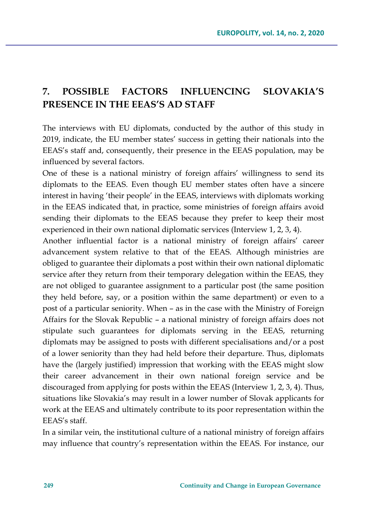# **7. POSSIBLE FACTORS INFLUENCING SLOVAKIA'S PRESENCE IN THE EEAS'S AD STAFF**

The interviews with EU diplomats, conducted by the author of this study in 2019, indicate, the EU member states' success in getting their nationals into the EEAS's staff and, consequently, their presence in the EEAS population, may be influenced by several factors.

One of these is a national ministry of foreign affairs' willingness to send its diplomats to the EEAS. Even though EU member states often have a sincere interest in having 'their people' in the EEAS, interviews with diplomats working in the EEAS indicated that, in practice, some ministries of foreign affairs avoid sending their diplomats to the EEAS because they prefer to keep their most experienced in their own national diplomatic services (Interview 1, 2, 3, 4).

Another influential factor is a national ministry of foreign affairs' career advancement system relative to that of the EEAS. Although ministries are obliged to guarantee their diplomats a post within their own national diplomatic service after they return from their temporary delegation within the EEAS, they are not obliged to guarantee assignment to a particular post (the same position they held before, say, or a position within the same department) or even to a post of a particular seniority. When – as in the case with the Ministry of Foreign Affairs for the Slovak Republic – a national ministry of foreign affairs does not stipulate such guarantees for diplomats serving in the EEAS, returning diplomats may be assigned to posts with different specialisations and/or a post of a lower seniority than they had held before their departure. Thus, diplomats have the (largely justified) impression that working with the EEAS might slow their career advancement in their own national foreign service and be discouraged from applying for posts within the EEAS (Interview 1, 2, 3, 4). Thus, situations like Slovakia's may result in a lower number of Slovak applicants for work at the EEAS and ultimately contribute to its poor representation within the EEAS's staff.

In a similar vein, the institutional culture of a national ministry of foreign affairs may influence that country's representation within the EEAS*.* For instance, our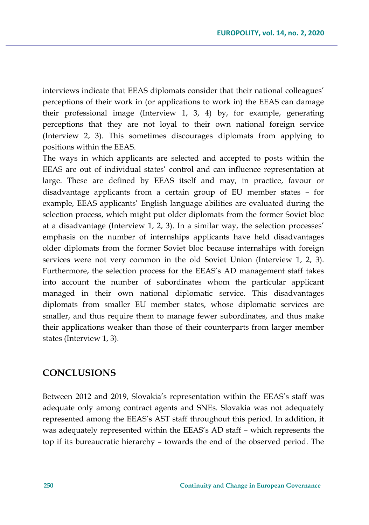interviews indicate that EEAS diplomats consider that their national colleagues' perceptions of their work in (or applications to work in) the EEAS can damage their professional image (Interview 1, 3, 4) by, for example, generating perceptions that they are not loyal to their own national foreign service (Interview 2, 3). This sometimes discourages diplomats from applying to positions within the EEAS.

The ways in which applicants are selected and accepted to posts within the EEAS are out of individual states' control and can influence representation at large. These are defined by EEAS itself and may, in practice, favour or disadvantage applicants from a certain group of EU member states – for example, EEAS applicants' English language abilities are evaluated during the selection process, which might put older diplomats from the former Soviet bloc at a disadvantage (Interview 1, 2, 3). In a similar way, the selection processes' emphasis on the number of internships applicants have held disadvantages older diplomats from the former Soviet bloc because internships with foreign services were not very common in the old Soviet Union (Interview 1, 2, 3). Furthermore, the selection process for the EEAS's AD management staff takes into account the number of subordinates whom the particular applicant managed in their own national diplomatic service. This disadvantages diplomats from smaller EU member states, whose diplomatic services are smaller, and thus require them to manage fewer subordinates, and thus make their applications weaker than those of their counterparts from larger member states (Interview 1, 3).

### **CONCLUSIONS**

Between 2012 and 2019, Slovakia's representation within the EEAS's staff was adequate only among contract agents and SNEs. Slovakia was not adequately represented among the EEAS's AST staff throughout this period. In addition, it was adequately represented within the EEAS's AD staff – which represents the top if its bureaucratic hierarchy – towards the end of the observed period. The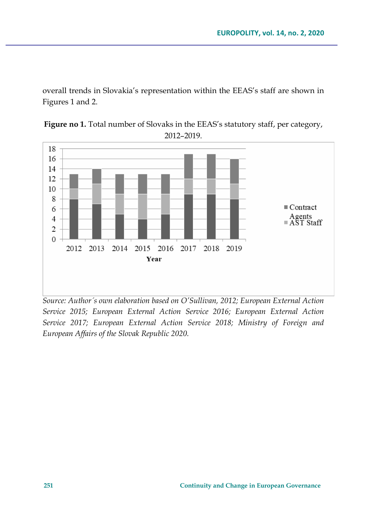overall trends in Slovakia's representation within the EEAS's staff are shown in Figures 1 and 2.

Figure no 1. Total number of Slovaks in the EEAS's statutory staff, per category, 2012–2019.



*Source: Author´s own elaboration based on O'Sullivan, 2012; European External Action Service 2015; European External Action Service 2016; European External Action Service 2017; European External Action Service 2018; Ministry of Foreign and European Affairs of the Slovak Republic 2020.*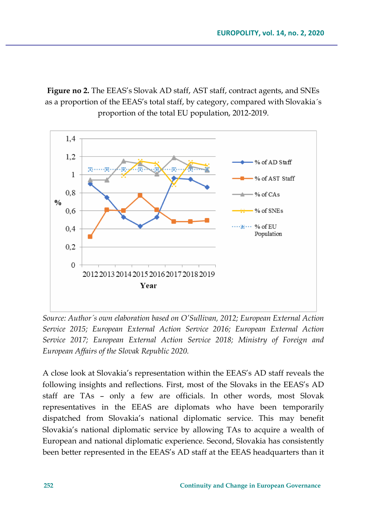**Figure no 2.** The EEAS's Slovak AD staff, AST staff, contract agents, and SNEs as a proportion of the EEAS's total staff, by category, compared with Slovakia´s proportion of the total EU population, 2012-2019.



*Source: Author´s own elaboration based on O'Sullivan, 2012; European External Action Service 2015; European External Action Service 2016; European External Action Service 2017; European External Action Service 2018; Ministry of Foreign and European Affairs of the Slovak Republic 2020.*

A close look at Slovakia's representation within the EEAS's AD staff reveals the following insights and reflections. First, most of the Slovaks in the EEAS's AD staff are TAs – only a few are officials. In other words, most Slovak representatives in the EEAS are diplomats who have been temporarily dispatched from Slovakia's national diplomatic service. This may benefit Slovakia's national diplomatic service by allowing TAs to acquire a wealth of European and national diplomatic experience. Second, Slovakia has consistently been better represented in the EEAS's AD staff at the EEAS headquarters than it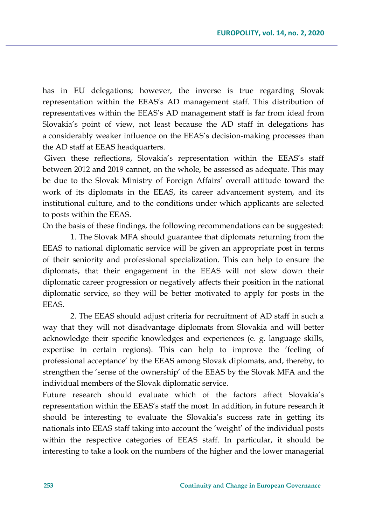has in EU delegations; however, the inverse is true regarding Slovak representation within the EEAS's AD management staff. This distribution of representatives within the EEAS's AD management staff is far from ideal from Slovakia's point of view, not least because the AD staff in delegations has a considerably weaker influence on the EEAS's decision-making processes than the AD staff at EEAS headquarters.

Given these reflections, Slovakia's representation within the EEAS's staff between 2012 and 2019 cannot, on the whole, be assessed as adequate. This may be due to the Slovak Ministry of Foreign Affairs' overall attitude toward the work of its diplomats in the EEAS, its career advancement system, and its institutional culture, and to the conditions under which applicants are selected to posts within the EEAS.

On the basis of these findings, the following recommendations can be suggested:

1. The Slovak MFA should guarantee that diplomats returning from the EEAS to national diplomatic service will be given an appropriate post in terms of their seniority and professional specialization. This can help to ensure the diplomats, that their engagement in the EEAS will not slow down their diplomatic career progression or negatively affects their position in the national diplomatic service, so they will be better motivated to apply for posts in the **EEAS**.

2. The EEAS should adjust criteria for recruitment of AD staff in such a way that they will not disadvantage diplomats from Slovakia and will better acknowledge their specific knowledges and experiences (e. g. language skills, expertise in certain regions). This can help to improve the 'feeling of professional acceptance' by the EEAS among Slovak diplomats, and, thereby, to strengthen the 'sense of the ownership' of the EEAS by the Slovak MFA and the individual members of the Slovak diplomatic service.

Future research should evaluate which of the factors affect Slovakia's representation within the EEAS's staff the most. In addition, in future research it should be interesting to evaluate the Slovakia's success rate in getting its nationals into EEAS staff taking into account the 'weight' of the individual posts within the respective categories of EEAS staff. In particular, it should be interesting to take a look on the numbers of the higher and the lower managerial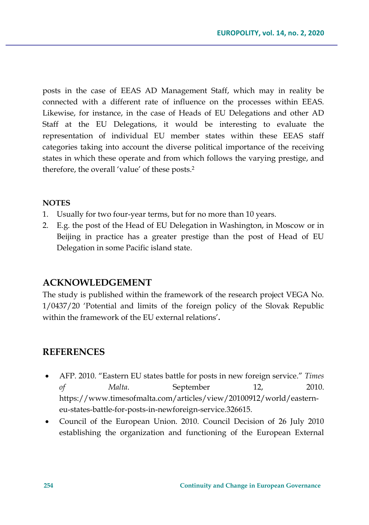posts in the case of EEAS AD Management Staff, which may in reality be connected with a different rate of influence on the processes within EEAS. Likewise, for instance, in the case of Heads of EU Delegations and other AD Staff at the EU Delegations, it would be interesting to evaluate the representation of individual EU member states within these EEAS staff categories taking into account the diverse political importance of the receiving states in which these operate and from which follows the varying prestige, and therefore, the overall 'value' of these posts.<sup>2</sup>

#### **NOTES**

- 1. Usually for two four-year terms, but for no more than 10 years.
- 2. E.g. the post of the Head of EU Delegation in Washington, in Moscow or in Beijing in practice has a greater prestige than the post of Head of EU Delegation in some Pacific island state.

### **ACKNOWLEDGEMENT**

The study is published within the framework of the research project VEGA No. 1/0437/20 'Potential and limits of the foreign policy of the Slovak Republic within the framework of the EU external relations'**.**

### **REFERENCES**

- AFP. 2010. "Eastern EU states battle for posts in new foreign service." *Times of Malta*. September 12, 2010. https://www.timesofmalta.com/articles/view/20100912/world/easterneu-states-battle-for-posts-in-newforeign-service.326615.
- Council of the European Union. 2010. Council Decision of 26 July 2010 establishing the organization and functioning of the European External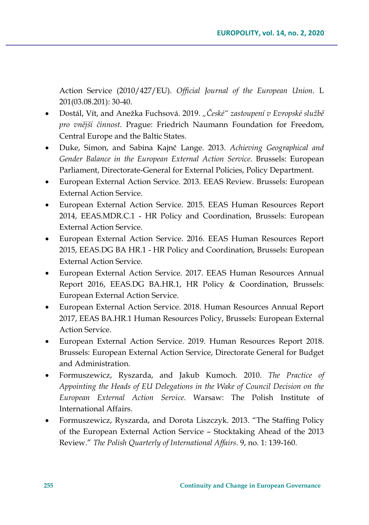Action Service (2010/427/EU). *Official Journal of the European Union*. L 201(03.08.201): 30-40.

- Dostál, Vít, and Anežka Fuchsová*.* 2019. *"České" zastoupení v Evropské službě pro vnější činnost.* Prague: Friedrich Naumann Foundation for Freedom, Central Europe and the Baltic States.
- Duke, Simon, and Sabina Kajnč Lange. 2013. *Achieving Geographical and Gender Balance in the European External Action Service*. Brussels: European Parliament, Directorate-General for External Policies, Policy Department.
- European External Action Service. 2013. EEAS Review. Brussels: European External Action Service.
- European External Action Service. 2015. EEAS Human Resources Report 2014, EEAS.MDR.C.1 - HR Policy and Coordination, Brussels: European External Action Service.
- European External Action Service. 2016. EEAS Human Resources Report 2015, EEAS.DG BA HR.1 - HR Policy and Coordination, Brussels: European External Action Service.
- European External Action Service. 2017. EEAS Human Resources Annual Report 2016, EEAS.DG BA.HR.1, HR Policy & Coordination, Brussels: European External Action Service.
- European External Action Service. 2018. Human Resources Annual Report 2017, EEAS BA.HR.1 Human Resources Policy, Brussels: European External Action Service.
- European External Action Service. 2019. Human Resources Report 2018. Brussels: European External Action Service, Directorate General for Budget and Administration.
- Formuszewicz, Ryszarda, and Jakub Kumoch. 2010. *The Practice of Appointing the Heads of EU Delegations in the Wake of Council Decision on the European External Action Service*. Warsaw: The Polish Institute of International Affairs.
- Formuszewicz, Ryszarda, and Dorota Liszczyk. 2013. "The Staffing Policy of the European External Action Service – Stocktaking Ahead of the 2013 Review." *The Polish Quarterly of International Affairs*. 9, no. 1: 139-160.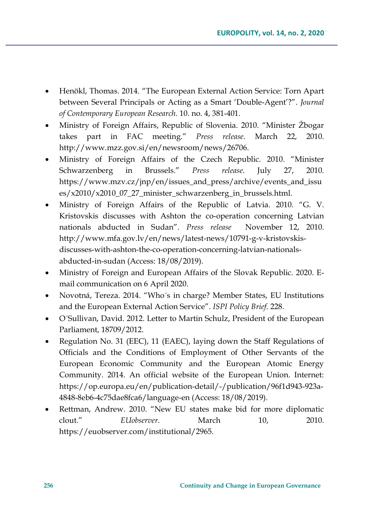- Henökl, Thomas. 2014. "The European External Action Service: Torn Apart between Several Principals or Acting as a Smart 'Double-Agent'?". *Journal of Contemporary European Research*. 10. no. 4, 381-401.
- Ministry of Foreign Affairs, Republic of Slovenia. 2010. "Minister Žbogar takes part in FAC meeting." *Press release*. March 22, 2010. http://www.mzz.gov.si/en/newsroom/news/26706.
- Ministry of Foreign Affairs of the Czech Republic. 2010. "Minister Schwarzenberg in Brussels." *Press release*. July 27, 2010. https://www.mzv.cz/jnp/en/issues\_and\_press/archive/events\_and\_issu es/x2010/x2010\_07\_27\_minister\_schwarzenberg\_in\_brussels.html.
- Ministry of Foreign Affairs of the Republic of Latvia. 2010. "G. V. Kristovskis discusses with Ashton the co-operation concerning Latvian nationals abducted in Sudan". *Press release* November 12, 2010. http://www.mfa.gov.lv/en/news/latest-news/10791-g-v-kristovskisdiscusses-with-ashton-the-co-operation-concerning-latvian-nationalsabducted-in-sudan (Access: 18/08/2019).
- Ministry of Foreign and European Affairs of the Slovak Republic. 2020. Email communication on 6 April 2020.
- Novotná, Tereza. 2014. "Who´s in charge? Member States, EU Institutions and the European External Action Service". *ISPI Policy Brief*. 228.
- O´Sullivan, David. 2012. Letter to Martin Schulz, President of the European Parliament, 18709/2012.
- Regulation No. 31 (EEC), 11 (EAEC), laying down the Staff Regulations of Officials and the Conditions of Employment of Other Servants of the European Economic Community and the European Atomic Energy Community. 2014. An official website of the European Union. Internet: https://op.europa.eu/en/publication-detail/-/publication/96f1d943-923a-4848-8eb6-4c75dae8fca6/language-en (Access: 18/08/2019).
- Rettman, Andrew. 2010. "New EU states make bid for more diplomatic clout." *EUobserver*. March 10, 2010. https://euobserver.com/institutional/2965.